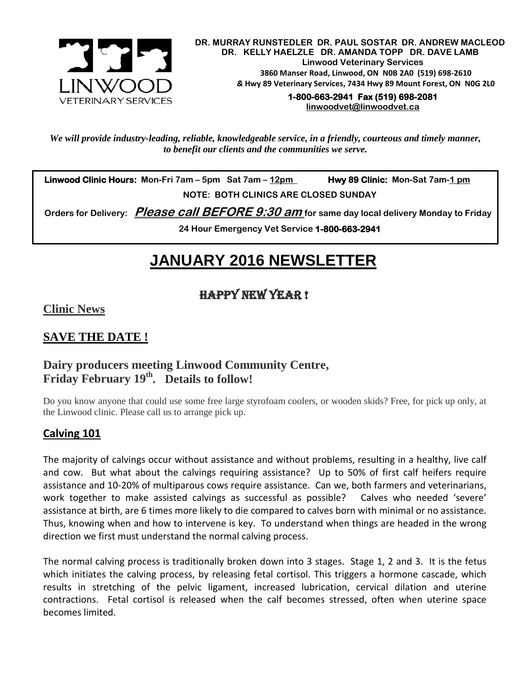

 **DR. MURRAY RUNSTEDLER DR. PAUL SOSTAR DR. ANDREW MACLEOD DR. KELLY HAELZLE DR. AMANDA TOPP DR. DAVE LAMB Linwood Veterinary Services 3860 Manser Road, Linwood, ON N0B 2A0 (519) 698-2610** *&* **Hwy 89 Veterinary Services, 7434 Hwy 89 Mount Forest, ON N0G 2L0**

> **1-800-663-2941 Fax (519) 698-2081 [linwoodvet@linwoodvet.ca](mailto:linwoodvet@linwoodvet.ca)**

*We will provide industry-leading, reliable, knowledgeable service, in a friendly, courteous and timely manner, to benefit our clients and the communities we serve.*

 **Linwood Clinic Hours: Mon-Fri 7am – 5pm Sat 7am – 12pm Hwy 89 Clinic: Mon-Sat 7am-1 pm NOTE: BOTH CLINICS ARE CLOSED SUNDAY**

 **Orders for Delivery: Please call BEFORE 9:30 am for same day local delivery Monday to Friday** 

**24 Hour Emergency Vet Service 1-800-663-2941** 

# *!* **JANUARY 2016 NEWSLETTER**

# Happy New Year !

**Clinic News**

# **SAVE THE DATE !**

## **Dairy producers meeting Linwood Community Centre, Friday February 19th. Details to follow!**

Do you know anyone that could use some free large styrofoam coolers, or wooden skids? Free, for pick up only, at the Linwood clinic. Please call us to arrange pick up.

## **Calving 101**

The majority of calvings occur without assistance and without problems, resulting in a healthy, live calf and cow. But what about the calvings requiring assistance? Up to 50% of first calf heifers require assistance and 10-20% of multiparous cows require assistance. Can we, both farmers and veterinarians, work together to make assisted calvings as successful as possible? Calves who needed 'severe' assistance at birth, are 6 times more likely to die compared to calves born with minimal or no assistance. Thus, knowing when and how to intervene is key. To understand when things are headed in the wrong direction we first must understand the normal calving process.

The normal calving process is traditionally broken down into 3 stages. Stage 1, 2 and 3. It is the fetus which initiates the calving process, by releasing fetal cortisol. This triggers a hormone cascade, which results in stretching of the pelvic ligament, increased lubrication, cervical dilation and uterine contractions. Fetal cortisol is released when the calf becomes stressed, often when uterine space becomes limited.